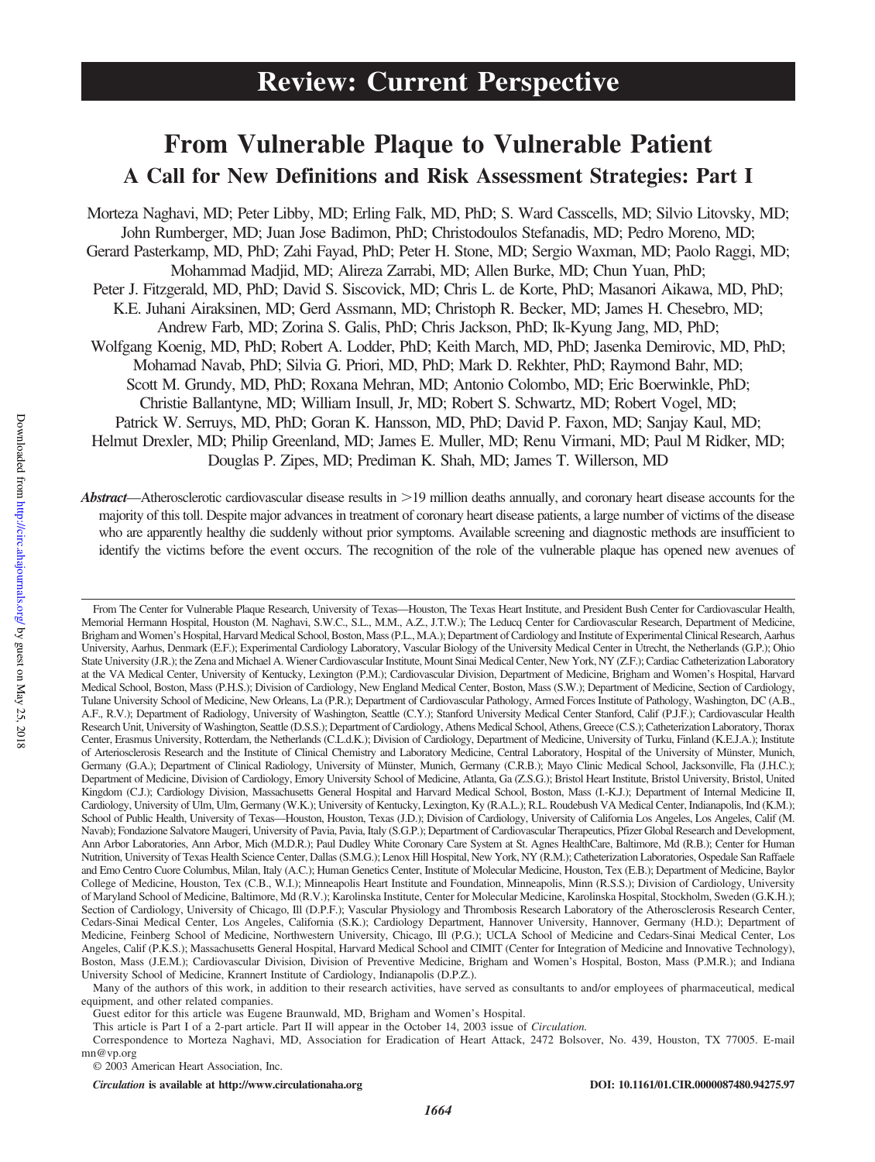# **From Vulnerable Plaque to Vulnerable Patient A Call for New Definitions and Risk Assessment Strategies: Part I**

Morteza Naghavi, MD; Peter Libby, MD; Erling Falk, MD, PhD; S. Ward Casscells, MD; Silvio Litovsky, MD; John Rumberger, MD; Juan Jose Badimon, PhD; Christodoulos Stefanadis, MD; Pedro Moreno, MD; Gerard Pasterkamp, MD, PhD; Zahi Fayad, PhD; Peter H. Stone, MD; Sergio Waxman, MD; Paolo Raggi, MD; Mohammad Madjid, MD; Alireza Zarrabi, MD; Allen Burke, MD; Chun Yuan, PhD; Peter J. Fitzgerald, MD, PhD; David S. Siscovick, MD; Chris L. de Korte, PhD; Masanori Aikawa, MD, PhD; K.E. Juhani Airaksinen, MD; Gerd Assmann, MD; Christoph R. Becker, MD; James H. Chesebro, MD; Andrew Farb, MD; Zorina S. Galis, PhD; Chris Jackson, PhD; Ik-Kyung Jang, MD, PhD; Wolfgang Koenig, MD, PhD; Robert A. Lodder, PhD; Keith March, MD, PhD; Jasenka Demirovic, MD, PhD; Mohamad Navab, PhD; Silvia G. Priori, MD, PhD; Mark D. Rekhter, PhD; Raymond Bahr, MD; Scott M. Grundy, MD, PhD; Roxana Mehran, MD; Antonio Colombo, MD; Eric Boerwinkle, PhD; Christie Ballantyne, MD; William Insull, Jr, MD; Robert S. Schwartz, MD; Robert Vogel, MD; Patrick W. Serruys, MD, PhD; Goran K. Hansson, MD, PhD; David P. Faxon, MD; Sanjay Kaul, MD; Helmut Drexler, MD; Philip Greenland, MD; James E. Muller, MD; Renu Virmani, MD; Paul M Ridker, MD; Douglas P. Zipes, MD; Prediman K. Shah, MD; James T. Willerson, MD

Abstract—Atherosclerotic cardiovascular disease results in  $>19$  million deaths annually, and coronary heart disease accounts for the majority of this toll. Despite major advances in treatment of coronary heart disease patients, a large number of victims of the disease who are apparently healthy die suddenly without prior symptoms. Available screening and diagnostic methods are insufficient to identify the victims before the event occurs. The recognition of the role of the vulnerable plaque has opened new avenues of

From The Center for Vulnerable Plaque Research, University of Texas—Houston, The Texas Heart Institute, and President Bush Center for Cardiovascular Health, Memorial Hermann Hospital, Houston (M. Naghavi, S.W.C., S.L., M.M., A.Z., J.T.W.); The Leducq Center for Cardiovascular Research, Department of Medicine, Brigham and Women's Hospital, Harvard Medical School, Boston, Mass (P.L., M.A.); Department of Cardiology and Institute of Experimental Clinical Research, Aarhus University, Aarhus, Denmark (E.F.); Experimental Cardiology Laboratory, Vascular Biology of the University Medical Center in Utrecht, the Netherlands (G.P.); Ohio State University (J.R.); the Zena and Michael A. Wiener Cardiovascular Institute, Mount Sinai Medical Center, New York, NY (Z.F.); Cardiac Catheterization Laboratory at the VA Medical Center, University of Kentucky, Lexington (P.M.); Cardiovascular Division, Department of Medicine, Brigham and Women's Hospital, Harvard Medical School, Boston, Mass (P.H.S.); Division of Cardiology, New England Medical Center, Boston, Mass (S.W.); Department of Medicine, Section of Cardiology, Tulane University School of Medicine, New Orleans, La (P.R.); Department of Cardiovascular Pathology, Armed Forces Institute of Pathology, Washington, DC (A.B., A.F., R.V.); Department of Radiology, University of Washington, Seattle (C.Y.); Stanford University Medical Center Stanford, Calif (P.J.F.); Cardiovascular Health Research Unit, University of Washington, Seattle (D.S.S.); Department of Cardiology, Athens Medical School, Athens, Greece (C.S.); Catheterization Laboratory, Thorax Center, Erasmus University, Rotterdam, the Netherlands (C.L.d.K.); Division of Cardiology, Department of Medicine, University of Turku, Finland (K.E.J.A.); Institute of Arteriosclerosis Research and the Institute of Clinical Chemistry and Laboratory Medicine, Central Laboratory, Hospital of the University of Münster, Munich, Germany (G.A.); Department of Clinical Radiology, University of Münster, Munich, Germany (C.R.B.); Mayo Clinic Medical School, Jacksonville, Fla (J.H.C.); Department of Medicine, Division of Cardiology, Emory University School of Medicine, Atlanta, Ga (Z.S.G.); Bristol Heart Institute, Bristol University, Bristol, United Kingdom (C.J.); Cardiology Division, Massachusetts General Hospital and Harvard Medical School, Boston, Mass (I.-K.J.); Department of Internal Medicine II, Cardiology, University of Ulm, Ulm, Germany (W.K.); University of Kentucky, Lexington, Ky (R.A.L.); R.L. Roudebush VA Medical Center, Indianapolis, Ind (K.M.); School of Public Health, University of Texas—Houston, Houston, Texas (J.D.); Division of Cardiology, University of California Los Angeles, Los Angeles, Calif (M. Navab); Fondazione Salvatore Maugeri, University of Pavia, Pavia, Italy (S.G.P.); Department of Cardiovascular Therapeutics, Pfizer Global Research and Development, Ann Arbor Laboratories, Ann Arbor, Mich (M.D.R.); Paul Dudley White Coronary Care System at St. Agnes HealthCare, Baltimore, Md (R.B.); Center for Human Nutrition, University of Texas Health Science Center, Dallas (S.M.G.); Lenox Hill Hospital, New York, NY (R.M.); Catheterization Laboratories, Ospedale San Raffaele and Emo Centro Cuore Columbus, Milan, Italy (A.C.); Human Genetics Center, Institute of Molecular Medicine, Houston, Tex (E.B.); Department of Medicine, Baylor College of Medicine, Houston, Tex (C.B., W.I.); Minneapolis Heart Institute and Foundation, Minneapolis, Minn (R.S.S.); Division of Cardiology, University of Maryland School of Medicine, Baltimore, Md (R.V.); Karolinska Institute, Center for Molecular Medicine, Karolinska Hospital, Stockholm, Sweden (G.K.H.); Section of Cardiology, University of Chicago, Ill (D.P.F.); Vascular Physiology and Thrombosis Research Laboratory of the Atherosclerosis Research Center, Cedars-Sinai Medical Center, Los Angeles, California (S.K.); Cardiology Department, Hannover University, Hannover, Germany (H.D.); Department of Medicine, Feinberg School of Medicine, Northwestern University, Chicago, Ill (P.G.); UCLA School of Medicine and Cedars-Sinai Medical Center, Los Angeles, Calif (P.K.S.); Massachusetts General Hospital, Harvard Medical School and CIMIT (Center for Integration of Medicine and Innovative Technology), Boston, Mass (J.E.M.); Cardiovascular Division, Division of Preventive Medicine, Brigham and Women's Hospital, Boston, Mass (P.M.R.); and Indiana University School of Medicine, Krannert Institute of Cardiology, Indianapolis (D.P.Z.).

Guest editor for this article was Eugene Braunwald, MD, Brigham and Women's Hospital.

This article is Part I of a 2-part article. Part II will appear in the October 14, 2003 issue of *Circulation.*

Correspondence to Morteza Naghavi, MD, Association for Eradication of Heart Attack, 2472 Bolsover, No. 439, Houston, TX 77005. E-mail mn@vp.org

© 2003 American Heart Association, Inc.

Many of the authors of this work, in addition to their research activities, have served as consultants to and/or employees of pharmaceutical, medical equipment, and other related companies.

*Circulation* **is available at http://www.circulationaha.org DOI: 10.1161/01.CIR.0000087480.94275.97**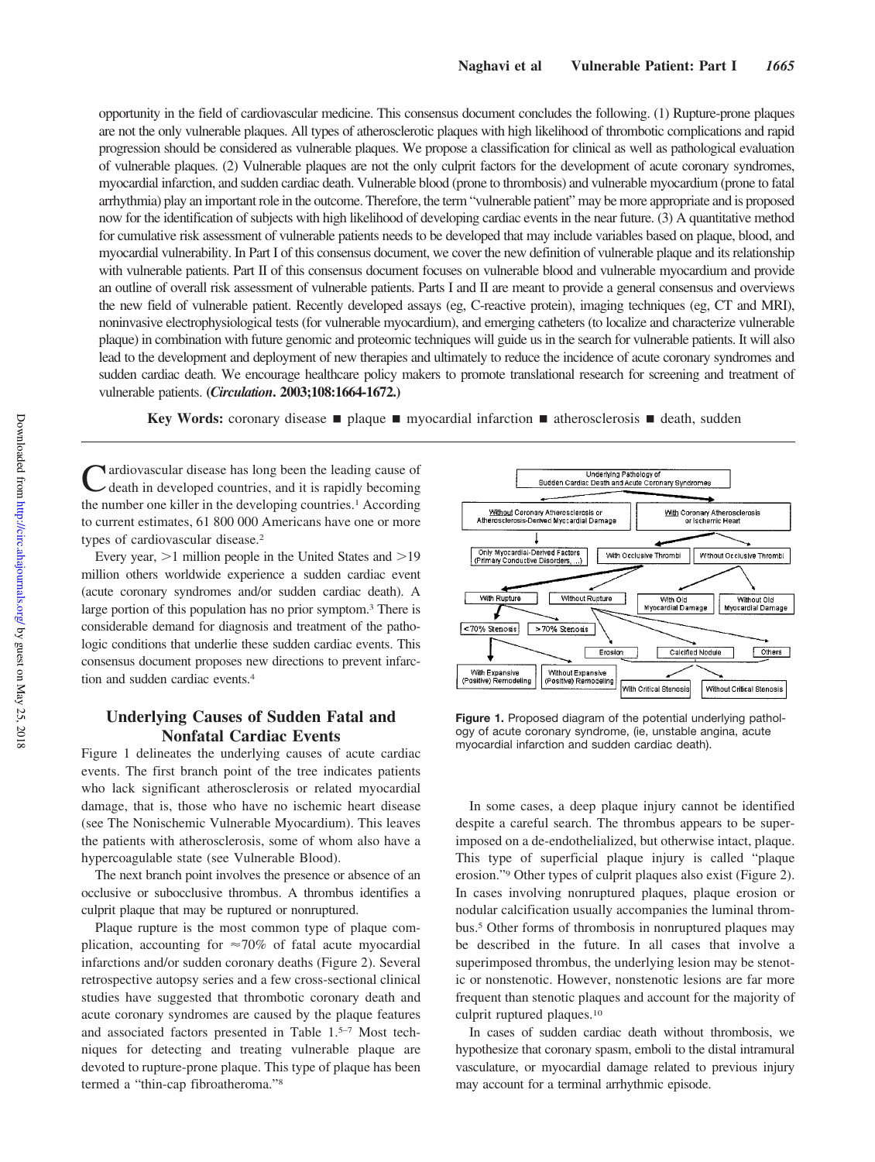opportunity in the field of cardiovascular medicine. This consensus document concludes the following. (1) Rupture-prone plaques are not the only vulnerable plaques. All types of atherosclerotic plaques with high likelihood of thrombotic complications and rapid progression should be considered as vulnerable plaques. We propose a classification for clinical as well as pathological evaluation of vulnerable plaques. (2) Vulnerable plaques are not the only culprit factors for the development of acute coronary syndromes, myocardial infarction, and sudden cardiac death. Vulnerable blood (prone to thrombosis) and vulnerable myocardium (prone to fatal arrhythmia) play an important role in the outcome. Therefore, the term "vulnerable patient" may be more appropriate and is proposed now for the identification of subjects with high likelihood of developing cardiac events in the near future. (3) A quantitative method for cumulative risk assessment of vulnerable patients needs to be developed that may include variables based on plaque, blood, and myocardial vulnerability. In Part I of this consensus document, we cover the new definition of vulnerable plaque and its relationship with vulnerable patients. Part II of this consensus document focuses on vulnerable blood and vulnerable myocardium and provide an outline of overall risk assessment of vulnerable patients. Parts I and II are meant to provide a general consensus and overviews the new field of vulnerable patient. Recently developed assays (eg, C-reactive protein), imaging techniques (eg, CT and MRI), noninvasive electrophysiological tests (for vulnerable myocardium), and emerging catheters (to localize and characterize vulnerable plaque) in combination with future genomic and proteomic techniques will guide us in the search for vulnerable patients. It will also lead to the development and deployment of new therapies and ultimately to reduce the incidence of acute coronary syndromes and sudden cardiac death. We encourage healthcare policy makers to promote translational research for screening and treatment of vulnerable patients. **(***Circulation***. 2003;108:1664-1672.)**

**Key Words:** coronary disease  $\blacksquare$  plaque  $\blacksquare$  myocardial infarction  $\blacksquare$  atherosclerosis  $\blacksquare$  death, sudden

C ardiovascular disease has long been the leading cause of death in developed countries, and it is rapidly becoming the number one killer in the developing countries.<sup>1</sup> According to current estimates, 61 800 000 Americans have one or more types of cardiovascular disease.<sup>2</sup>

Every year,  $>1$  million people in the United States and  $>19$ million others worldwide experience a sudden cardiac event (acute coronary syndromes and/or sudden cardiac death). A large portion of this population has no prior symptom.<sup>3</sup> There is considerable demand for diagnosis and treatment of the pathologic conditions that underlie these sudden cardiac events. This consensus document proposes new directions to prevent infarction and sudden cardiac events.<sup>4</sup>

# **Underlying Causes of Sudden Fatal and Nonfatal Cardiac Events**

Figure 1 delineates the underlying causes of acute cardiac events. The first branch point of the tree indicates patients who lack significant atherosclerosis or related myocardial damage, that is, those who have no ischemic heart disease (see The Nonischemic Vulnerable Myocardium). This leaves the patients with atherosclerosis, some of whom also have a hypercoagulable state (see Vulnerable Blood).

The next branch point involves the presence or absence of an occlusive or subocclusive thrombus. A thrombus identifies a culprit plaque that may be ruptured or nonruptured.

Plaque rupture is the most common type of plaque complication, accounting for  $\approx 70\%$  of fatal acute myocardial infarctions and/or sudden coronary deaths (Figure 2). Several retrospective autopsy series and a few cross-sectional clinical studies have suggested that thrombotic coronary death and acute coronary syndromes are caused by the plaque features and associated factors presented in Table 1.5-7 Most techniques for detecting and treating vulnerable plaque are devoted to rupture-prone plaque. This type of plaque has been termed a "thin-cap fibroatheroma."<sup>8</sup>



**Figure 1.** Proposed diagram of the potential underlying pathology of acute coronary syndrome, (ie, unstable angina, acute myocardial infarction and sudden cardiac death).

In some cases, a deep plaque injury cannot be identified despite a careful search. The thrombus appears to be superimposed on a de-endothelialized, but otherwise intact, plaque. This type of superficial plaque injury is called "plaque erosion."<sup>9</sup> Other types of culprit plaques also exist (Figure 2). In cases involving nonruptured plaques, plaque erosion or nodular calcification usually accompanies the luminal thrombus.<sup>5</sup> Other forms of thrombosis in nonruptured plaques may be described in the future. In all cases that involve a superimposed thrombus, the underlying lesion may be stenotic or nonstenotic. However, nonstenotic lesions are far more frequent than stenotic plaques and account for the majority of culprit ruptured plaques.<sup>10</sup>

In cases of sudden cardiac death without thrombosis, we hypothesize that coronary spasm, emboli to the distal intramural vasculature, or myocardial damage related to previous injury may account for a terminal arrhythmic episode.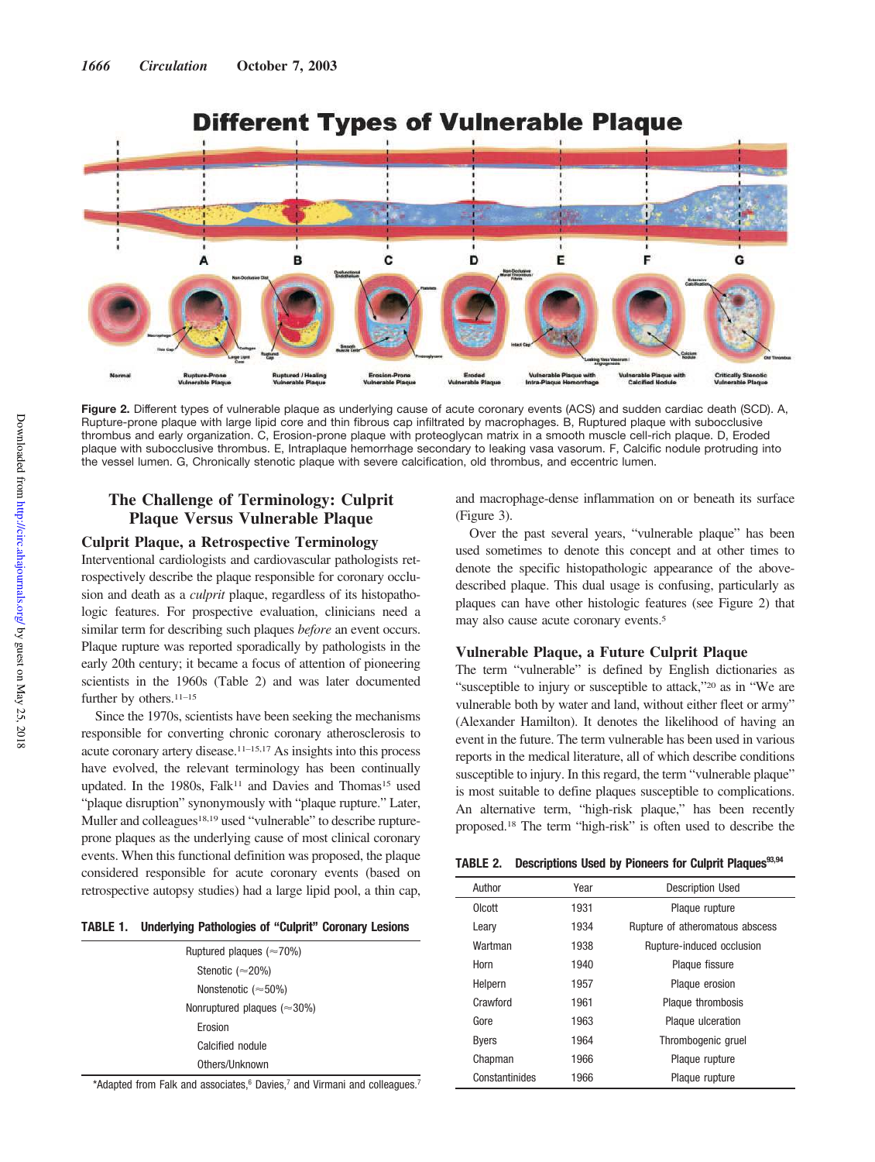

# **Different Types of Vulnerable Plaque**

**Figure 2.** Different types of vulnerable plaque as underlying cause of acute coronary events (ACS) and sudden cardiac death (SCD). A, Rupture-prone plaque with large lipid core and thin fibrous cap infiltrated by macrophages. B, Ruptured plaque with subocclusive thrombus and early organization. C, Erosion-prone plaque with proteoglycan matrix in a smooth muscle cell-rich plaque. D, Eroded plaque with subocclusive thrombus. E, Intraplaque hemorrhage secondary to leaking vasa vasorum. F, Calcific nodule protruding into the vessel lumen. G, Chronically stenotic plaque with severe calcification, old thrombus, and eccentric lumen.

# **The Challenge of Terminology: Culprit Plaque Versus Vulnerable Plaque**

# **Culprit Plaque, a Retrospective Terminology**

Interventional cardiologists and cardiovascular pathologists retrospectively describe the plaque responsible for coronary occlusion and death as a *culprit* plaque, regardless of its histopathologic features. For prospective evaluation, clinicians need a similar term for describing such plaques *before* an event occurs. Plaque rupture was reported sporadically by pathologists in the early 20th century; it became a focus of attention of pioneering scientists in the 1960s (Table 2) and was later documented further by others.<sup>11-15</sup>

Since the 1970s, scientists have been seeking the mechanisms responsible for converting chronic coronary atherosclerosis to acute coronary artery disease.11–15,17 As insights into this process have evolved, the relevant terminology has been continually updated. In the 1980s, Falk<sup>11</sup> and Davies and Thomas<sup>15</sup> used "plaque disruption" synonymously with "plaque rupture." Later, Muller and colleagues<sup>18,19</sup> used "vulnerable" to describe ruptureprone plaques as the underlying cause of most clinical coronary events. When this functional definition was proposed, the plaque considered responsible for acute coronary events (based on retrospective autopsy studies) had a large lipid pool, a thin cap,

| TABLE 1. |  | <b>Underlying Pathologies of "Culprit" Coronary Lesions</b> |  |  |  |
|----------|--|-------------------------------------------------------------|--|--|--|
|----------|--|-------------------------------------------------------------|--|--|--|

| Ruptured plaques ( $\approx$ 70%)    |  |  |
|--------------------------------------|--|--|
| Stenotic $(\approx 20\%)$            |  |  |
| Nonstenotic ( $\approx$ 50%)         |  |  |
| Nonruptured plaques ( $\approx$ 30%) |  |  |
| Frosion                              |  |  |
| Calcified nodule                     |  |  |
| Others/Unknown                       |  |  |

\*Adapted from Falk and associates, $6$  Davies, $7$  and Virmani and colleagues. $7$ 

and macrophage-dense inflammation on or beneath its surface (Figure 3).

Over the past several years, "vulnerable plaque" has been used sometimes to denote this concept and at other times to denote the specific histopathologic appearance of the abovedescribed plaque. This dual usage is confusing, particularly as plaques can have other histologic features (see Figure 2) that may also cause acute coronary events.<sup>5</sup>

#### **Vulnerable Plaque, a Future Culprit Plaque**

The term "vulnerable" is defined by English dictionaries as "susceptible to injury or susceptible to attack,"<sup>20</sup> as in "We are vulnerable both by water and land, without either fleet or army" (Alexander Hamilton). It denotes the likelihood of having an event in the future. The term vulnerable has been used in various reports in the medical literature, all of which describe conditions susceptible to injury. In this regard, the term "vulnerable plaque" is most suitable to define plaques susceptible to complications. An alternative term, "high-risk plaque," has been recently proposed.<sup>18</sup> The term "high-risk" is often used to describe the

| TABLE 2. Descriptions Used by Pioneers for Culprit Plaques <sup>93,94</sup> |  |  |
|-----------------------------------------------------------------------------|--|--|
|                                                                             |  |  |

| Author<br>Year<br><b>Description Used</b>        |  |
|--------------------------------------------------|--|
|                                                  |  |
| Olcott<br>1931<br>Plaque rupture                 |  |
| 1934<br>Rupture of atheromatous abscess<br>Leary |  |
| Wartman<br>1938<br>Rupture-induced occlusion     |  |
| Horn<br>1940<br>Plaque fissure                   |  |
| 1957<br>Plaque erosion<br>Helpern                |  |
| Crawford<br>Plaque thrombosis<br>1961            |  |
| Gore<br>1963<br>Plaque ulceration                |  |
| Thrombogenic gruel<br><b>Byers</b><br>1964       |  |
| 1966<br>Chapman<br>Plaque rupture                |  |
| Constantinides<br>1966<br>Plaque rupture         |  |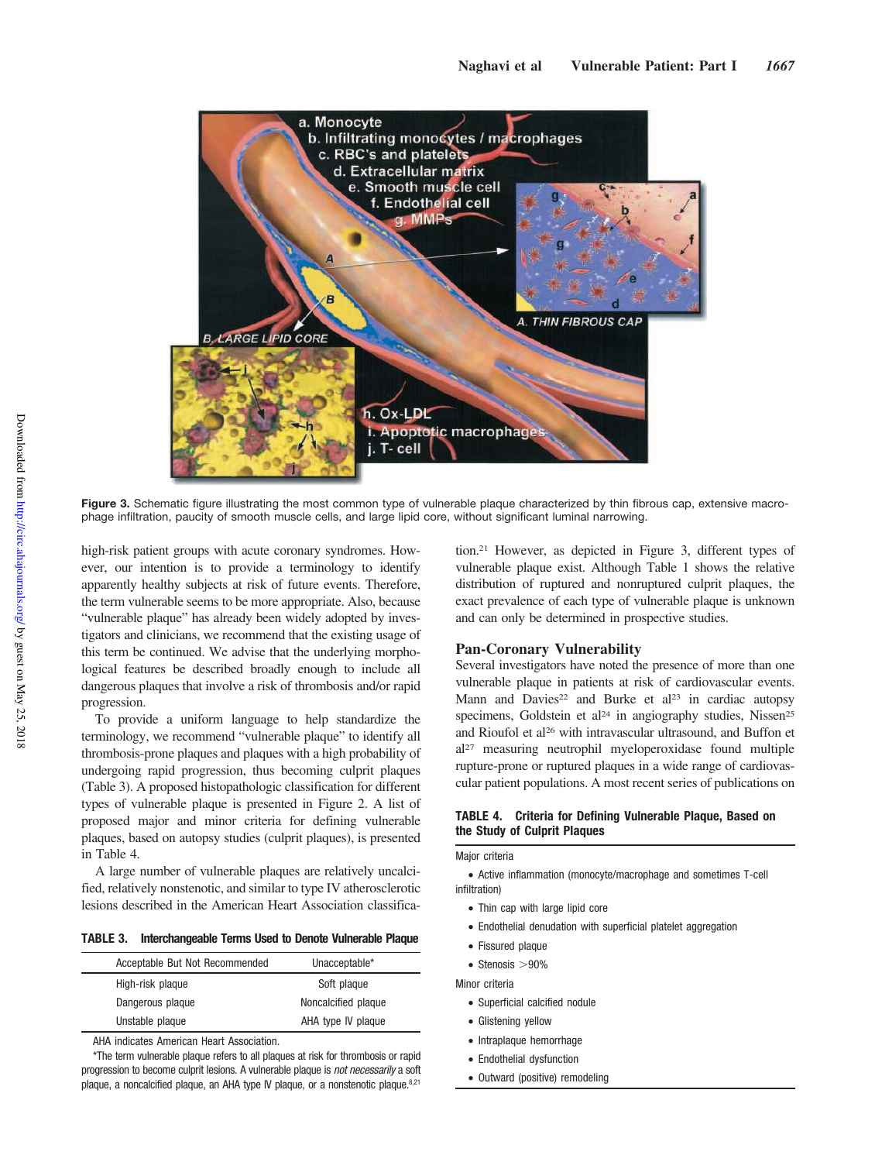

**Figure 3.** Schematic figure illustrating the most common type of vulnerable plaque characterized by thin fibrous cap, extensive macrophage infiltration, paucity of smooth muscle cells, and large lipid core, without significant luminal narrowing.

high-risk patient groups with acute coronary syndromes. However, our intention is to provide a terminology to identify apparently healthy subjects at risk of future events. Therefore, the term vulnerable seems to be more appropriate. Also, because "vulnerable plaque" has already been widely adopted by investigators and clinicians, we recommend that the existing usage of this term be continued. We advise that the underlying morphological features be described broadly enough to include all dangerous plaques that involve a risk of thrombosis and/or rapid progression.

To provide a uniform language to help standardize the terminology, we recommend "vulnerable plaque" to identify all thrombosis-prone plaques and plaques with a high probability of undergoing rapid progression, thus becoming culprit plaques (Table 3). A proposed histopathologic classification for different types of vulnerable plaque is presented in Figure 2. A list of proposed major and minor criteria for defining vulnerable plaques, based on autopsy studies (culprit plaques), is presented in Table 4.

A large number of vulnerable plaques are relatively uncalcified, relatively nonstenotic, and similar to type IV atherosclerotic lesions described in the American Heart Association classifica-

**TABLE 3. Interchangeable Terms Used to Denote Vulnerable Plaque**

| Acceptable But Not Recommended | Unacceptable*       |
|--------------------------------|---------------------|
| High-risk plaque               | Soft plaque         |
| Dangerous plaque               | Noncalcified plaque |
| Unstable plaque                | AHA type IV plaque  |

AHA indicates American Heart Association.

\*The term vulnerable plaque refers to all plaques at risk for thrombosis or rapid progression to become culprit lesions. A vulnerable plaque is not necessarily a soft plaque, a noncalcified plaque, an AHA type IV plaque, or a nonstenotic plaque.<sup>8,21</sup>

tion.<sup>21</sup> However, as depicted in Figure 3, different types of vulnerable plaque exist. Although Table 1 shows the relative distribution of ruptured and nonruptured culprit plaques, the exact prevalence of each type of vulnerable plaque is unknown and can only be determined in prospective studies.

## **Pan-Coronary Vulnerability**

Several investigators have noted the presence of more than one vulnerable plaque in patients at risk of cardiovascular events. Mann and Davies<sup>22</sup> and Burke et al<sup>23</sup> in cardiac autopsy specimens, Goldstein et al<sup>24</sup> in angiography studies, Nissen<sup>25</sup> and Rioufol et al<sup>26</sup> with intravascular ultrasound, and Buffon et al<sup>27</sup> measuring neutrophil myeloperoxidase found multiple rupture-prone or ruptured plaques in a wide range of cardiovascular patient populations. A most recent series of publications on

#### **TABLE 4. Criteria for Defining Vulnerable Plaque, Based on the Study of Culprit Plaques**

Major criteria

• Active inflammation (monocyte/macrophage and sometimes T-cell infiltration)

- Thin cap with large lipid core
- Endothelial denudation with superficial platelet aggregation
- Fissured plaque
- Stenosis  $>90\%$
- Minor criteria
	- Superficial calcified nodule
	- Glistening yellow
	- Intraplaque hemorrhage
	- Endothelial dysfunction
	- Outward (positive) remodeling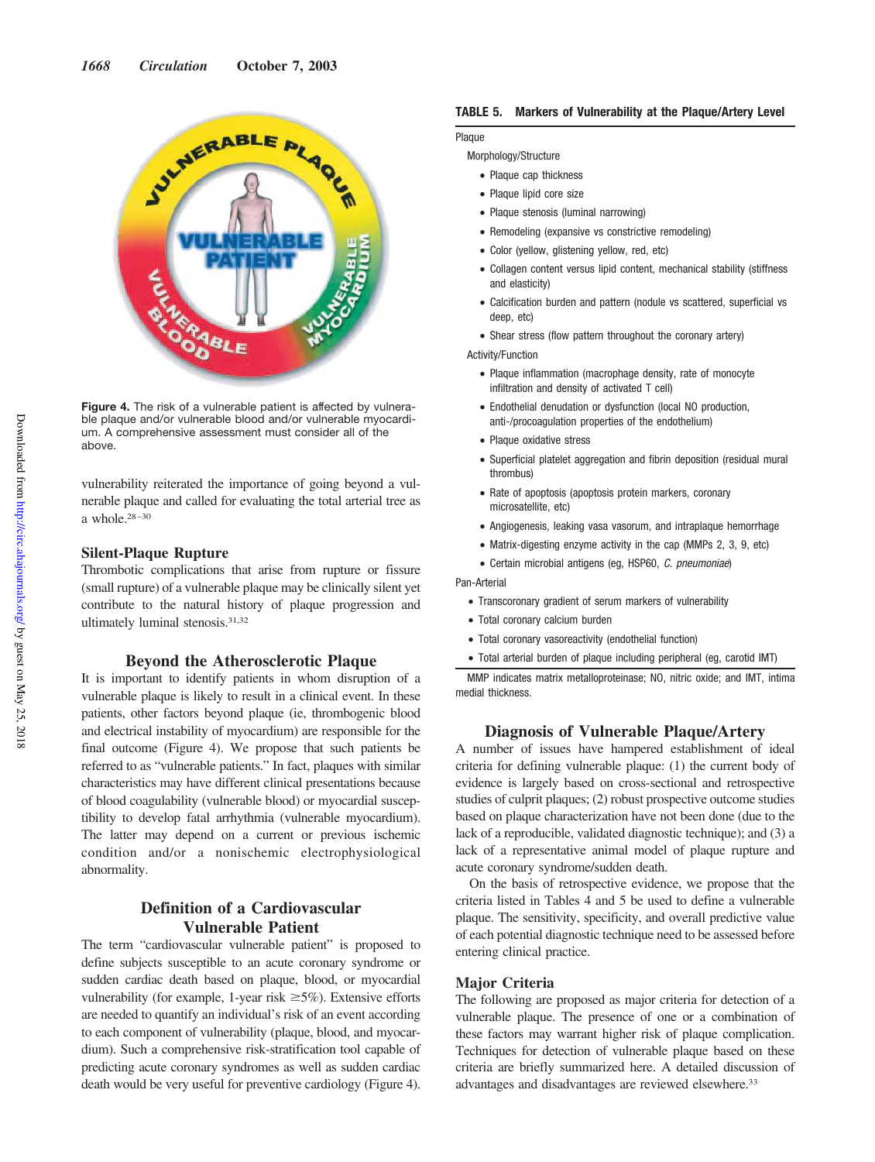

Figure 4. The risk of a vulnerable patient is affected by vulnerable plaque and/or vulnerable blood and/or vulnerable myocardium. A comprehensive assessment must consider all of the above.

vulnerability reiterated the importance of going beyond a vulnerable plaque and called for evaluating the total arterial tree as a whole.28–30

## **Silent-Plaque Rupture**

Thrombotic complications that arise from rupture or fissure (small rupture) of a vulnerable plaque may be clinically silent yet contribute to the natural history of plaque progression and ultimately luminal stenosis.31,32

## **Beyond the Atherosclerotic Plaque**

It is important to identify patients in whom disruption of a vulnerable plaque is likely to result in a clinical event. In these patients, other factors beyond plaque (ie, thrombogenic blood and electrical instability of myocardium) are responsible for the final outcome (Figure 4). We propose that such patients be referred to as "vulnerable patients." In fact, plaques with similar characteristics may have different clinical presentations because of blood coagulability (vulnerable blood) or myocardial susceptibility to develop fatal arrhythmia (vulnerable myocardium). The latter may depend on a current or previous ischemic condition and/or a nonischemic electrophysiological abnormality.

# **Definition of a Cardiovascular Vulnerable Patient**

The term "cardiovascular vulnerable patient" is proposed to define subjects susceptible to an acute coronary syndrome or sudden cardiac death based on plaque, blood, or myocardial vulnerability (for example, 1-year risk  $\geq 5\%$ ). Extensive efforts are needed to quantify an individual's risk of an event according to each component of vulnerability (plaque, blood, and myocardium). Such a comprehensive risk-stratification tool capable of predicting acute coronary syndromes as well as sudden cardiac death would be very useful for preventive cardiology (Figure 4).

#### **TABLE 5. Markers of Vulnerability at the Plaque/Artery Level**

#### Plaque

Morphology/Structure

• Plaque cap thickness

- Plaque lipid core size
- Plaque stenosis (luminal narrowing)
- Remodeling (expansive vs constrictive remodeling)
- Color (yellow, glistening yellow, red, etc)
- Collagen content versus lipid content, mechanical stability (stiffness and elasticity)
- Calcification burden and pattern (nodule vs scattered, superficial vs deep, etc)
- Shear stress (flow pattern throughout the coronary artery)

Activity/Function

- Plaque inflammation (macrophage density, rate of monocyte infiltration and density of activated T cell)
- Endothelial denudation or dysfunction (local NO production, anti-/procoagulation properties of the endothelium)
- Plaque oxidative stress
- Superficial platelet aggregation and fibrin deposition (residual mural thrombus)
- Rate of apoptosis (apoptosis protein markers, coronary microsatellite, etc)
- Angiogenesis, leaking vasa vasorum, and intraplaque hemorrhage
- Matrix-digesting enzyme activity in the cap (MMPs 2, 3, 9, etc)
- Certain microbial antigens (eg, HSP60, C. pneumoniae)

Pan-Arterial

- Transcoronary gradient of serum markers of vulnerability
- Total coronary calcium burden
- Total coronary vasoreactivity (endothelial function)
- Total arterial burden of plaque including peripheral (eg, carotid IMT)

MMP indicates matrix metalloproteinase; NO, nitric oxide; and IMT, intima medial thickness.

#### **Diagnosis of Vulnerable Plaque/Artery**

A number of issues have hampered establishment of ideal criteria for defining vulnerable plaque: (1) the current body of evidence is largely based on cross-sectional and retrospective studies of culprit plaques; (2) robust prospective outcome studies based on plaque characterization have not been done (due to the lack of a reproducible, validated diagnostic technique); and (3) a lack of a representative animal model of plaque rupture and acute coronary syndrome/sudden death.

On the basis of retrospective evidence, we propose that the criteria listed in Tables 4 and 5 be used to define a vulnerable plaque. The sensitivity, specificity, and overall predictive value of each potential diagnostic technique need to be assessed before entering clinical practice.

### **Major Criteria**

The following are proposed as major criteria for detection of a vulnerable plaque. The presence of one or a combination of these factors may warrant higher risk of plaque complication. Techniques for detection of vulnerable plaque based on these criteria are briefly summarized here. A detailed discussion of advantages and disadvantages are reviewed elsewhere.<sup>33</sup>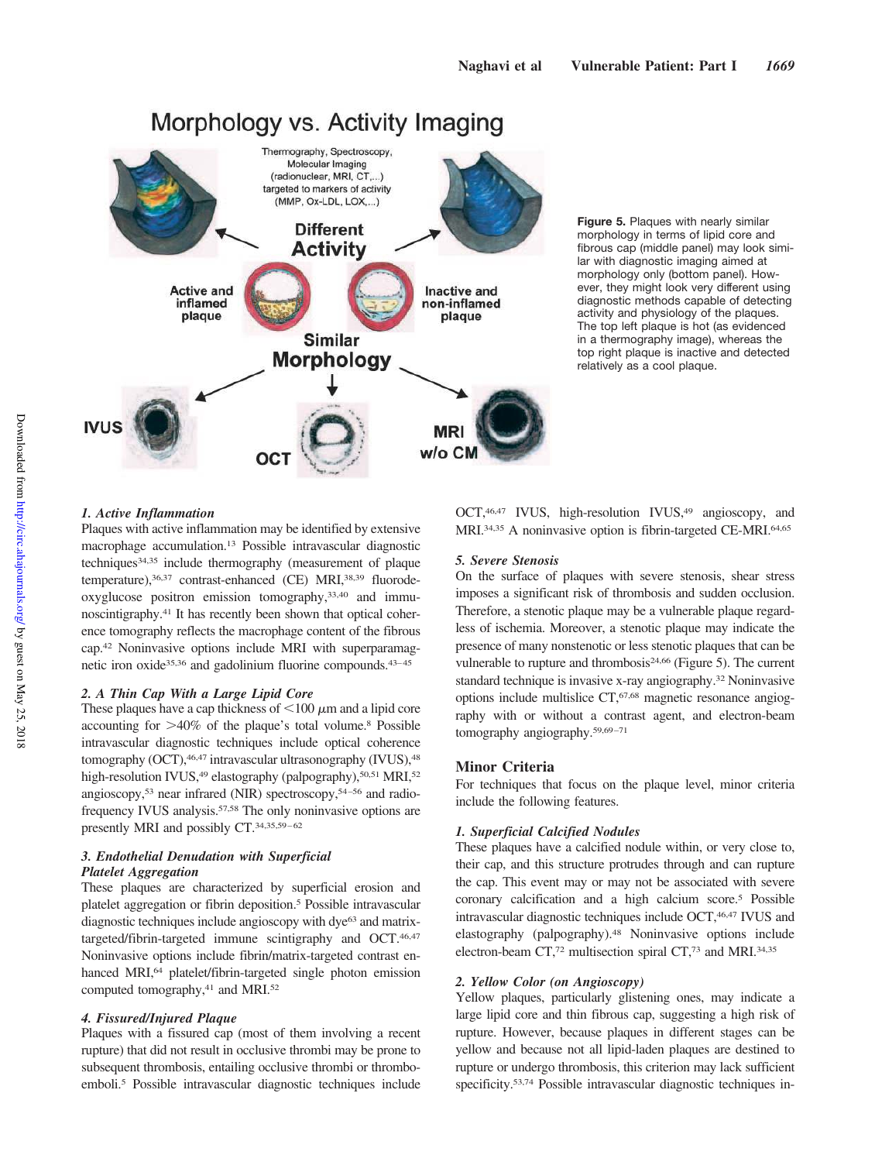

**Figure 5.** Plaques with nearly similar morphology in terms of lipid core and fibrous cap (middle panel) may look similar with diagnostic imaging aimed at morphology only (bottom panel). However, they might look very different using diagnostic methods capable of detecting activity and physiology of the plaques. The top left plaque is hot (as evidenced in a thermography image), whereas the top right plaque is inactive and detected relatively as a cool plaque.

# *1. Active Inflammation*

Plaques with active inflammation may be identified by extensive macrophage accumulation.<sup>13</sup> Possible intravascular diagnostic techniques34,35 include thermography (measurement of plaque temperature), 36,37 contrast-enhanced (CE) MRI, 38,39 fluorodeoxyglucose positron emission tomography,33,40 and immunoscintigraphy.<sup>41</sup> It has recently been shown that optical coherence tomography reflects the macrophage content of the fibrous cap.<sup>42</sup> Noninvasive options include MRI with superparamagnetic iron oxide35,36 and gadolinium fluorine compounds.43–45

#### *2. A Thin Cap With a Large Lipid Core*

These plaques have a cap thickness of  $\leq 100 \ \mu m$  and a lipid core accounting for  $>40\%$  of the plaque's total volume.<sup>8</sup> Possible intravascular diagnostic techniques include optical coherence tomography (OCT), 46,47 intravascular ultrasonography (IVUS), 48 high-resolution IVUS,<sup>49</sup> elastography (palpography),<sup>50,51</sup> MRI,<sup>52</sup> angioscopy,<sup>53</sup> near infrared (NIR) spectroscopy,54–56 and radiofrequency IVUS analysis.57,58 The only noninvasive options are presently MRI and possibly CT.34,35,59–62

## *3. Endothelial Denudation with Superficial Platelet Aggregation*

These plaques are characterized by superficial erosion and platelet aggregation or fibrin deposition.<sup>5</sup> Possible intravascular diagnostic techniques include angioscopy with dye<sup>63</sup> and matrixtargeted/fibrin-targeted immune scintigraphy and OCT.46,47 Noninvasive options include fibrin/matrix-targeted contrast enhanced MRI,<sup>64</sup> platelet/fibrin-targeted single photon emission computed tomography,<sup>41</sup> and MRI.<sup>52</sup>

# *4. Fissured/Injured Plaque*

Plaques with a fissured cap (most of them involving a recent rupture) that did not result in occlusive thrombi may be prone to subsequent thrombosis, entailing occlusive thrombi or thromboemboli.<sup>5</sup> Possible intravascular diagnostic techniques include OCT,46,47 IVUS, high-resolution IVUS,<sup>49</sup> angioscopy, and MRI.34,35 A noninvasive option is fibrin-targeted CE-MRI.64,65

## *5. Severe Stenosis*

On the surface of plaques with severe stenosis, shear stress imposes a significant risk of thrombosis and sudden occlusion. Therefore, a stenotic plaque may be a vulnerable plaque regardless of ischemia. Moreover, a stenotic plaque may indicate the presence of many nonstenotic or less stenotic plaques that can be vulnerable to rupture and thrombosis<sup>24,66</sup> (Figure 5). The current standard technique is invasive x-ray angiography.<sup>32</sup> Noninvasive options include multislice CT,67,68 magnetic resonance angiography with or without a contrast agent, and electron-beam tomography angiography.59,69–71

# **Minor Criteria**

For techniques that focus on the plaque level, minor criteria include the following features.

## *1. Superficial Calcified Nodules*

These plaques have a calcified nodule within, or very close to, their cap, and this structure protrudes through and can rupture the cap. This event may or may not be associated with severe coronary calcification and a high calcium score.<sup>5</sup> Possible intravascular diagnostic techniques include OCT,46,47 IVUS and elastography (palpography).<sup>48</sup> Noninvasive options include electron-beam CT,<sup>72</sup> multisection spiral CT,<sup>73</sup> and MRI.34,35

# *2. Yellow Color (on Angioscopy)*

Yellow plaques, particularly glistening ones, may indicate a large lipid core and thin fibrous cap, suggesting a high risk of rupture. However, because plaques in different stages can be yellow and because not all lipid-laden plaques are destined to rupture or undergo thrombosis, this criterion may lack sufficient specificity.<sup>53,74</sup> Possible intravascular diagnostic techniques in-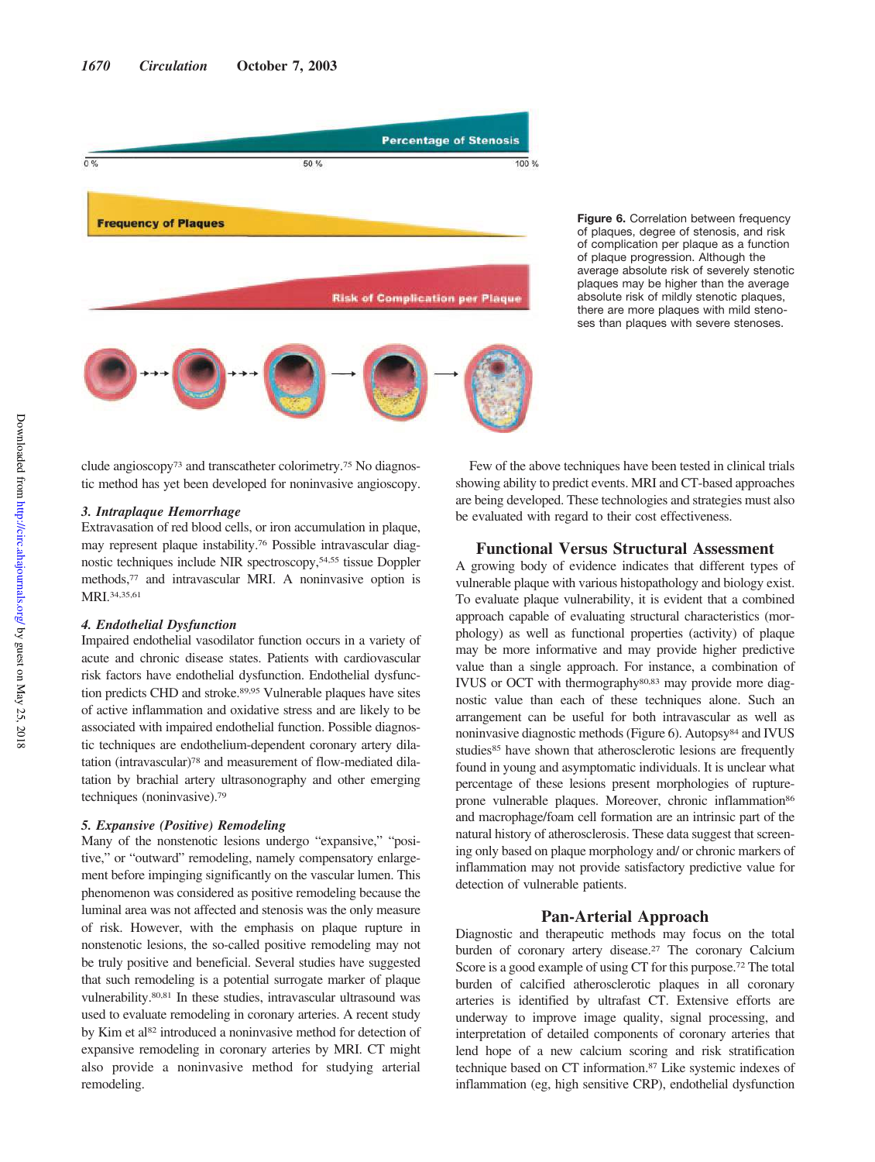

clude angioscopy<sup>73</sup> and transcatheter colorimetry.<sup>75</sup> No diagnostic method has yet been developed for noninvasive angioscopy.

#### *3. Intraplaque Hemorrhage*

Extravasation of red blood cells, or iron accumulation in plaque, may represent plaque instability.<sup>76</sup> Possible intravascular diagnostic techniques include NIR spectroscopy,54,55 tissue Doppler methods,<sup>77</sup> and intravascular MRI. A noninvasive option is MRI.34,35,61

## *4. Endothelial Dysfunction*

Impaired endothelial vasodilator function occurs in a variety of acute and chronic disease states. Patients with cardiovascular risk factors have endothelial dysfunction. Endothelial dysfunction predicts CHD and stroke.89,95 Vulnerable plaques have sites of active inflammation and oxidative stress and are likely to be associated with impaired endothelial function. Possible diagnostic techniques are endothelium-dependent coronary artery dilatation (intravascular)<sup>78</sup> and measurement of flow-mediated dilatation by brachial artery ultrasonography and other emerging techniques (noninvasive).<sup>79</sup>

#### *5. Expansive (Positive) Remodeling*

Many of the nonstenotic lesions undergo "expansive," "positive," or "outward" remodeling, namely compensatory enlargement before impinging significantly on the vascular lumen. This phenomenon was considered as positive remodeling because the luminal area was not affected and stenosis was the only measure of risk. However, with the emphasis on plaque rupture in nonstenotic lesions, the so-called positive remodeling may not be truly positive and beneficial. Several studies have suggested that such remodeling is a potential surrogate marker of plaque vulnerability.80,81 In these studies, intravascular ultrasound was used to evaluate remodeling in coronary arteries. A recent study by Kim et al<sup>82</sup> introduced a noninvasive method for detection of expansive remodeling in coronary arteries by MRI. CT might also provide a noninvasive method for studying arterial remodeling.

**Figure 6.** Correlation between frequency of plaques, degree of stenosis, and risk of complication per plaque as a function of plaque progression. Although the average absolute risk of severely stenotic plaques may be higher than the average absolute risk of mildly stenotic plaques, there are more plaques with mild stenoses than plaques with severe stenoses.

Few of the above techniques have been tested in clinical trials showing ability to predict events. MRI and CT-based approaches are being developed. These technologies and strategies must also be evaluated with regard to their cost effectiveness.

#### **Functional Versus Structural Assessment**

A growing body of evidence indicates that different types of vulnerable plaque with various histopathology and biology exist. To evaluate plaque vulnerability, it is evident that a combined approach capable of evaluating structural characteristics (morphology) as well as functional properties (activity) of plaque may be more informative and may provide higher predictive value than a single approach. For instance, a combination of IVUS or OCT with thermography80,83 may provide more diagnostic value than each of these techniques alone. Such an arrangement can be useful for both intravascular as well as noninvasive diagnostic methods (Figure 6). Autopsy<sup>84</sup> and IVUS studies<sup>85</sup> have shown that atherosclerotic lesions are frequently found in young and asymptomatic individuals. It is unclear what percentage of these lesions present morphologies of ruptureprone vulnerable plaques. Moreover, chronic inflammation<sup>86</sup> and macrophage/foam cell formation are an intrinsic part of the natural history of atherosclerosis. These data suggest that screening only based on plaque morphology and/ or chronic markers of inflammation may not provide satisfactory predictive value for detection of vulnerable patients.

#### **Pan-Arterial Approach**

Diagnostic and therapeutic methods may focus on the total burden of coronary artery disease.<sup>27</sup> The coronary Calcium Score is a good example of using CT for this purpose.<sup>72</sup> The total burden of calcified atherosclerotic plaques in all coronary arteries is identified by ultrafast CT. Extensive efforts are underway to improve image quality, signal processing, and interpretation of detailed components of coronary arteries that lend hope of a new calcium scoring and risk stratification technique based on CT information.<sup>87</sup> Like systemic indexes of inflammation (eg, high sensitive CRP), endothelial dysfunction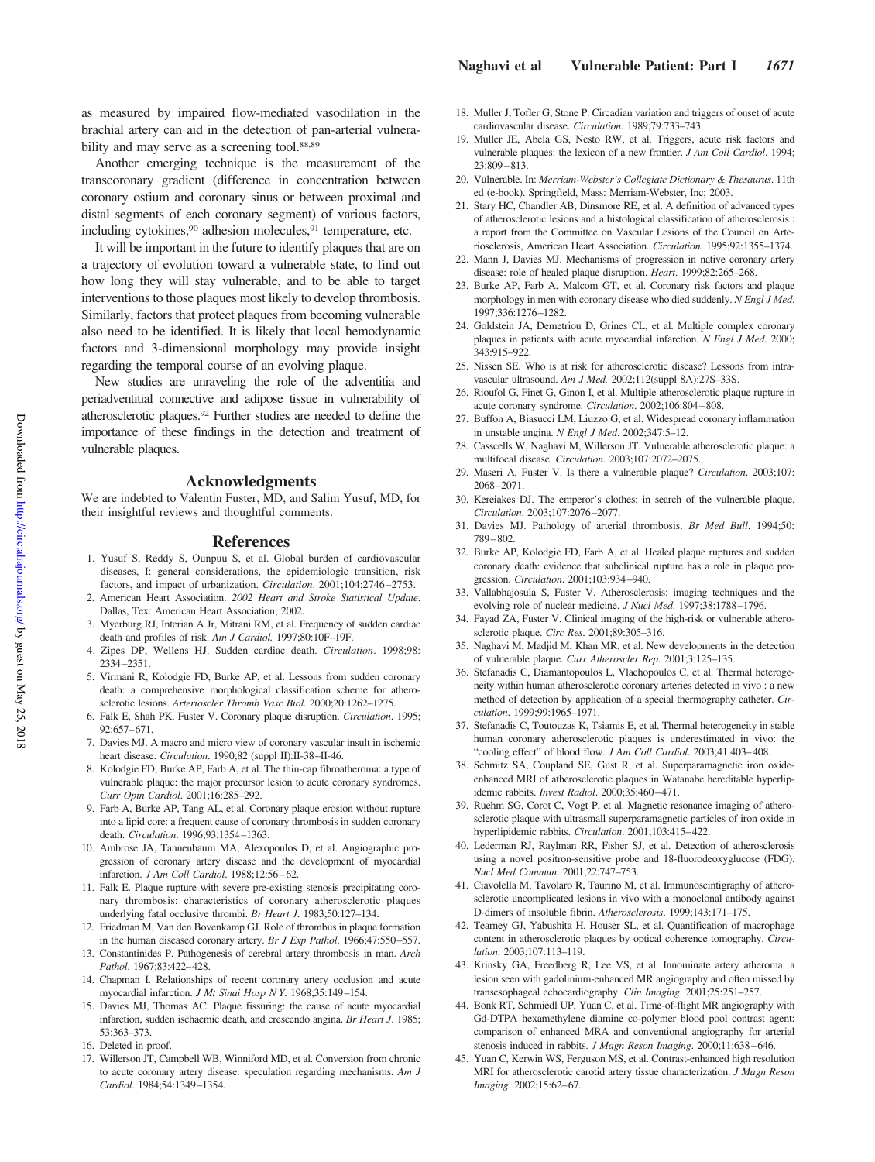as measured by impaired flow-mediated vasodilation in the brachial artery can aid in the detection of pan-arterial vulnerability and may serve as a screening tool.<sup>88,89</sup>

Another emerging technique is the measurement of the transcoronary gradient (difference in concentration between coronary ostium and coronary sinus or between proximal and distal segments of each coronary segment) of various factors, including cytokines,<sup>90</sup> adhesion molecules,<sup>91</sup> temperature, etc.

It will be important in the future to identify plaques that are on a trajectory of evolution toward a vulnerable state, to find out how long they will stay vulnerable, and to be able to target interventions to those plaques most likely to develop thrombosis. Similarly, factors that protect plaques from becoming vulnerable also need to be identified. It is likely that local hemodynamic factors and 3-dimensional morphology may provide insight regarding the temporal course of an evolving plaque.

New studies are unraveling the role of the adventitia and periadventitial connective and adipose tissue in vulnerability of atherosclerotic plaques.<sup>92</sup> Further studies are needed to define the importance of these findings in the detection and treatment of vulnerable plaques.

#### **Acknowledgments**

We are indebted to Valentin Fuster, MD, and Salim Yusuf, MD, for their insightful reviews and thoughtful comments.

#### **References**

- 1. Yusuf S, Reddy S, Ounpuu S, et al. Global burden of cardiovascular diseases, I: general considerations, the epidemiologic transition, risk factors, and impact of urbanization. *Circulation*. 2001;104:2746–2753.
- 2. American Heart Association. *2002 Heart and Stroke Statistical Update*. Dallas, Tex: American Heart Association; 2002.
- 3. Myerburg RJ, Interian A Jr, Mitrani RM, et al. Frequency of sudden cardiac death and profiles of risk. *Am J Cardiol.* 1997;80:10F–19F.
- 4. Zipes DP, Wellens HJ. Sudden cardiac death. *Circulation*. 1998;98: 2334–2351.
- 5. Virmani R, Kolodgie FD, Burke AP, et al. Lessons from sudden coronary death: a comprehensive morphological classification scheme for atherosclerotic lesions. *Arterioscler Thromb Vasc Biol*. 2000;20:1262–1275.
- 6. Falk E, Shah PK, Fuster V. Coronary plaque disruption. *Circulation*. 1995; 92:657–671.
- 7. Davies MJ. A macro and micro view of coronary vascular insult in ischemic heart disease. *Circulation*. 1990;82 (suppl II):II-38–II-46.
- 8. Kolodgie FD, Burke AP, Farb A, et al. The thin-cap fibroatheroma: a type of vulnerable plaque: the major precursor lesion to acute coronary syndromes. *Curr Opin Cardiol*. 2001;16:285–292.
- 9. Farb A, Burke AP, Tang AL, et al. Coronary plaque erosion without rupture into a lipid core: a frequent cause of coronary thrombosis in sudden coronary death. *Circulation*. 1996;93:1354–1363.
- 10. Ambrose JA, Tannenbaum MA, Alexopoulos D, et al. Angiographic progression of coronary artery disease and the development of myocardial infarction. *J Am Coll Cardiol*. 1988;12:56–62.
- 11. Falk E. Plaque rupture with severe pre-existing stenosis precipitating coronary thrombosis: characteristics of coronary atherosclerotic plaques underlying fatal occlusive thrombi. *Br Heart J*. 1983;50:127–134.
- 12. Friedman M, Van den Bovenkamp GJ. Role of thrombus in plaque formation in the human diseased coronary artery. *Br J Exp Pathol*. 1966;47:550–557.
- 13. Constantinides P. Pathogenesis of cerebral artery thrombosis in man. *Arch Pathol*. 1967;83:422–428.
- 14. Chapman I. Relationships of recent coronary artery occlusion and acute myocardial infarction. *J Mt Sinai Hosp N Y*. 1968;35:149–154.
- 15. Davies MJ, Thomas AC. Plaque fissuring: the cause of acute myocardial infarction, sudden ischaemic death, and crescendo angina. *Br Heart J*. 1985; 53:363–373.
- 16. Deleted in proof.
- 17. Willerson JT, Campbell WB, Winniford MD, et al. Conversion from chronic to acute coronary artery disease: speculation regarding mechanisms. *Am J Cardiol*. 1984;54:1349–1354.
- 18. Muller J, Tofler G, Stone P. Circadian variation and triggers of onset of acute cardiovascular disease. *Circulation*. 1989;79:733–743.
- 19. Muller JE, Abela GS, Nesto RW, et al. Triggers, acute risk factors and vulnerable plaques: the lexicon of a new frontier. *J Am Coll Cardiol*. 1994; 23:809–813.
- 20. Vulnerable. In: *Merriam-Webster's Collegiate Dictionary & Thesaurus*. 11th ed (e-book). Springfield, Mass: Merriam-Webster, Inc; 2003.
- 21. Stary HC, Chandler AB, Dinsmore RE, et al. A definition of advanced types of atherosclerotic lesions and a histological classification of atherosclerosis : a report from the Committee on Vascular Lesions of the Council on Arteriosclerosis, American Heart Association. *Circulation*. 1995;92:1355–1374.
- 22. Mann J, Davies MJ. Mechanisms of progression in native coronary artery disease: role of healed plaque disruption. *Heart*. 1999;82:265–268.
- 23. Burke AP, Farb A, Malcom GT, et al. Coronary risk factors and plaque morphology in men with coronary disease who died suddenly. *N Engl J Med*. 1997;336:1276–1282.
- 24. Goldstein JA, Demetriou D, Grines CL, et al. Multiple complex coronary plaques in patients with acute myocardial infarction. *N Engl J Med*. 2000; 343:915–922.
- 25. Nissen SE. Who is at risk for atherosclerotic disease? Lessons from intravascular ultrasound. *Am J Med.* 2002;112(suppl 8A):27S–33S.
- 26. Rioufol G, Finet G, Ginon I, et al. Multiple atherosclerotic plaque rupture in acute coronary syndrome. *Circulation*. 2002;106:804–808.
- 27. Buffon A, Biasucci LM, Liuzzo G, et al. Widespread coronary inflammation in unstable angina. *N Engl J Med*. 2002;347:5–12.
- 28. Casscells W, Naghavi M, Willerson JT. Vulnerable atherosclerotic plaque: a multifocal disease. *Circulation*. 2003;107:2072–2075.
- 29. Maseri A, Fuster V. Is there a vulnerable plaque? *Circulation*. 2003;107: 2068–2071.
- 30. Kereiakes DJ. The emperor's clothes: in search of the vulnerable plaque. *Circulation*. 2003;107:2076–2077.
- 31. Davies MJ. Pathology of arterial thrombosis. *Br Med Bull*. 1994;50: 789–802.
- 32. Burke AP, Kolodgie FD, Farb A, et al. Healed plaque ruptures and sudden coronary death: evidence that subclinical rupture has a role in plaque progression. *Circulation*. 2001;103:934–940.
- 33. Vallabhajosula S, Fuster V. Atherosclerosis: imaging techniques and the evolving role of nuclear medicine. *J Nucl Med*. 1997;38:1788–1796.
- 34. Fayad ZA, Fuster V. Clinical imaging of the high-risk or vulnerable atherosclerotic plaque. *Circ Res*. 2001;89:305–316.
- 35. Naghavi M, Madjid M, Khan MR, et al. New developments in the detection of vulnerable plaque. *Curr Atheroscler Rep*. 2001;3:125–135.
- 36. Stefanadis C, Diamantopoulos L, Vlachopoulos C, et al. Thermal heterogeneity within human atherosclerotic coronary arteries detected in vivo : a new method of detection by application of a special thermography catheter. *Circulation*. 1999;99:1965–1971.
- 37. Stefanadis C, Toutouzas K, Tsiamis E, et al. Thermal heterogeneity in stable human coronary atherosclerotic plaques is underestimated in vivo: the "cooling effect" of blood flow. *J Am Coll Cardiol*. 2003;41:403–408.
- 38. Schmitz SA, Coupland SE, Gust R, et al. Superparamagnetic iron oxideenhanced MRI of atherosclerotic plaques in Watanabe hereditable hyperlipidemic rabbits. *Invest Radiol*. 2000;35:460–471.
- 39. Ruehm SG, Corot C, Vogt P, et al. Magnetic resonance imaging of atherosclerotic plaque with ultrasmall superparamagnetic particles of iron oxide in hyperlipidemic rabbits. *Circulation*. 2001;103:415–422.
- 40. Lederman RJ, Raylman RR, Fisher SJ, et al. Detection of atherosclerosis using a novel positron-sensitive probe and 18-fluorodeoxyglucose (FDG). *Nucl Med Commun*. 2001;22:747–753.
- 41. Ciavolella M, Tavolaro R, Taurino M, et al. Immunoscintigraphy of atherosclerotic uncomplicated lesions in vivo with a monoclonal antibody against D-dimers of insoluble fibrin. *Atherosclerosis*. 1999;143:171–175.
- 42. Tearney GJ, Yabushita H, Houser SL, et al. Quantification of macrophage content in atherosclerotic plaques by optical coherence tomography. *Circulation*. 2003;107:113–119.
- 43. Krinsky GA, Freedberg R, Lee VS, et al. Innominate artery atheroma: a lesion seen with gadolinium-enhanced MR angiography and often missed by transesophageal echocardiography. *Clin Imaging*. 2001;25:251–257.
- 44. Bonk RT, Schmiedl UP, Yuan C, et al. Time-of-flight MR angiography with Gd-DTPA hexamethylene diamine co-polymer blood pool contrast agent: comparison of enhanced MRA and conventional angiography for arterial stenosis induced in rabbits. *J Magn Reson Imaging*. 2000;11:638–646.
- 45. Yuan C, Kerwin WS, Ferguson MS, et al. Contrast-enhanced high resolution MRI for atherosclerotic carotid artery tissue characterization. *J Magn Reson Imaging*. 2002;15:62–67.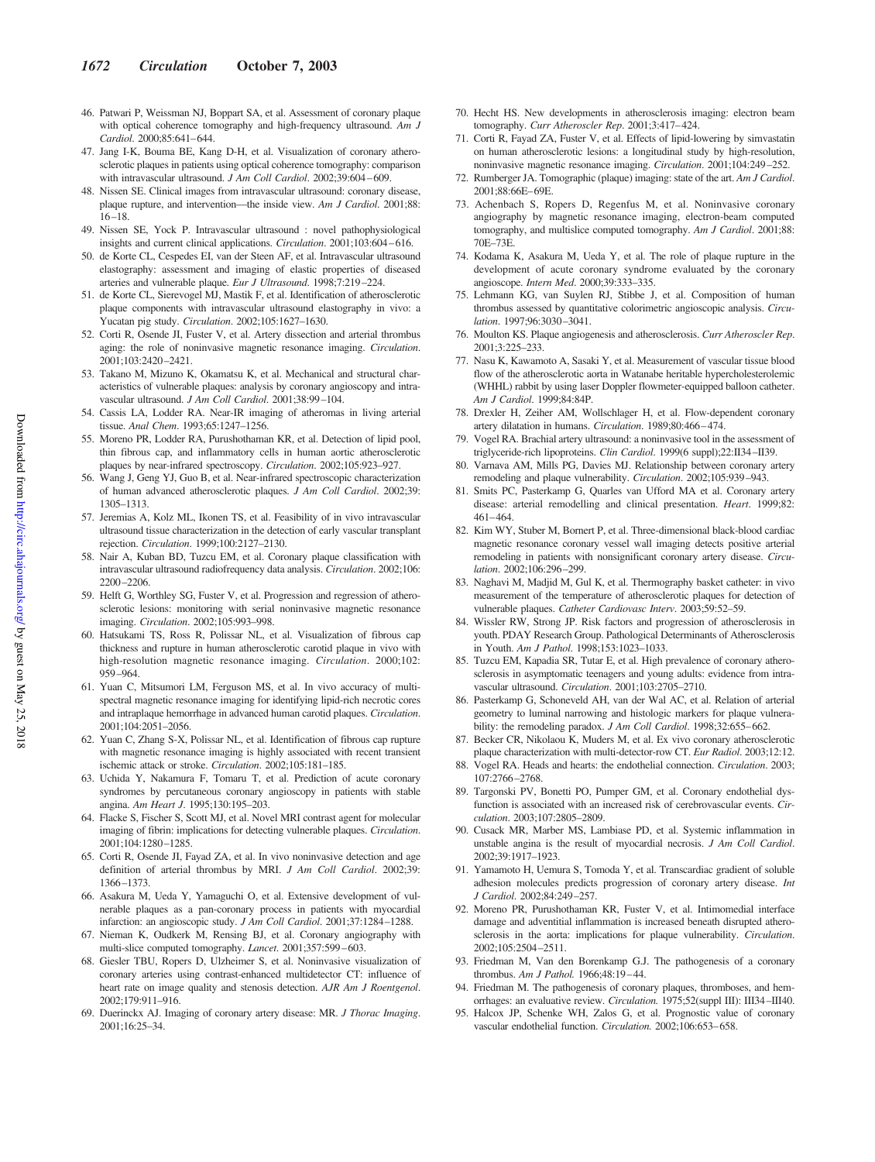- 46. Patwari P, Weissman NJ, Boppart SA, et al. Assessment of coronary plaque with optical coherence tomography and high-frequency ultrasound. *Am J Cardiol*. 2000;85:641–644.
- 47. Jang I-K, Bouma BE, Kang D-H, et al. Visualization of coronary atherosclerotic plaques in patients using optical coherence tomography: comparison with intravascular ultrasound. *J Am Coll Cardiol*. 2002;39:604–609.
- 48. Nissen SE. Clinical images from intravascular ultrasound: coronary disease, plaque rupture, and intervention—the inside view. *Am J Cardiol*. 2001;88: 16–18.
- 49. Nissen SE, Yock P. Intravascular ultrasound : novel pathophysiological insights and current clinical applications. *Circulation*. 2001;103:604–616.
- 50. de Korte CL, Cespedes EI, van der Steen AF, et al. Intravascular ultrasound elastography: assessment and imaging of elastic properties of diseased arteries and vulnerable plaque. *Eur J Ultrasound*. 1998;7:219–224.
- 51. de Korte CL, Sierevogel MJ, Mastik F, et al. Identification of atherosclerotic plaque components with intravascular ultrasound elastography in vivo: a Yucatan pig study. *Circulation*. 2002;105:1627–1630.
- 52. Corti R, Osende JI, Fuster V, et al. Artery dissection and arterial thrombus aging: the role of noninvasive magnetic resonance imaging. *Circulation*. 2001;103:2420–2421.
- 53. Takano M, Mizuno K, Okamatsu K, et al. Mechanical and structural characteristics of vulnerable plaques: analysis by coronary angioscopy and intravascular ultrasound. *J Am Coll Cardiol*. 2001;38:99–104.
- Cassis LA, Lodder RA. Near-IR imaging of atheromas in living arterial tissue. *Anal Chem*. 1993;65:1247–1256.
- 55. Moreno PR, Lodder RA, Purushothaman KR, et al. Detection of lipid pool, thin fibrous cap, and inflammatory cells in human aortic atherosclerotic plaques by near-infrared spectroscopy. *Circulation*. 2002;105:923–927.
- 56. Wang J, Geng YJ, Guo B, et al. Near-infrared spectroscopic characterization of human advanced atherosclerotic plaques. *J Am Coll Cardiol*. 2002;39: 1305–1313.
- 57. Jeremias A, Kolz ML, Ikonen TS, et al. Feasibility of in vivo intravascular ultrasound tissue characterization in the detection of early vascular transplant rejection. *Circulation*. 1999;100:2127–2130.
- 58. Nair A, Kuban BD, Tuzcu EM, et al. Coronary plaque classification with intravascular ultrasound radiofrequency data analysis. *Circulation*. 2002;106: 2200–2206.
- 59. Helft G, Worthley SG, Fuster V, et al. Progression and regression of atherosclerotic lesions: monitoring with serial noninvasive magnetic resonance imaging. *Circulation*. 2002;105:993–998.
- 60. Hatsukami TS, Ross R, Polissar NL, et al. Visualization of fibrous cap thickness and rupture in human atherosclerotic carotid plaque in vivo with high-resolution magnetic resonance imaging. *Circulation*. 2000;102: 959–964.
- 61. Yuan C, Mitsumori LM, Ferguson MS, et al. In vivo accuracy of multispectral magnetic resonance imaging for identifying lipid-rich necrotic cores and intraplaque hemorrhage in advanced human carotid plaques. *Circulation*. 2001;104:2051–2056.
- 62. Yuan C, Zhang S-X, Polissar NL, et al. Identification of fibrous cap rupture with magnetic resonance imaging is highly associated with recent transient ischemic attack or stroke. *Circulation*. 2002;105:181–185.
- 63. Uchida Y, Nakamura F, Tomaru T, et al. Prediction of acute coronary syndromes by percutaneous coronary angioscopy in patients with stable angina. *Am Heart J*. 1995;130:195–203.
- 64. Flacke S, Fischer S, Scott MJ, et al. Novel MRI contrast agent for molecular imaging of fibrin: implications for detecting vulnerable plaques. *Circulation*. 2001;104:1280–1285.
- 65. Corti R, Osende JI, Fayad ZA, et al. In vivo noninvasive detection and age definition of arterial thrombus by MRI. *J Am Coll Cardiol*. 2002;39: 1366–1373.
- 66. Asakura M, Ueda Y, Yamaguchi O, et al. Extensive development of vulnerable plaques as a pan-coronary process in patients with myocardial infarction: an angioscopic study. *J Am Coll Cardiol*. 2001;37:1284–1288.
- 67. Nieman K, Oudkerk M, Rensing BJ, et al. Coronary angiography with multi-slice computed tomography. *Lancet*. 2001;357:599–603.
- 68. Giesler TBU, Ropers D, Ulzheimer S, et al. Noninvasive visualization of coronary arteries using contrast-enhanced multidetector CT: influence of heart rate on image quality and stenosis detection. *AJR Am J Roentgenol*. 2002;179:911–916.
- 69. Duerinckx AJ. Imaging of coronary artery disease: MR. *J Thorac Imaging*. 2001;16:25–34.
- 70. Hecht HS. New developments in atherosclerosis imaging: electron beam tomography. *Curr Atheroscler Rep*. 2001;3:417–424.
- 71. Corti R, Fayad ZA, Fuster V, et al. Effects of lipid-lowering by simvastatin on human atherosclerotic lesions: a longitudinal study by high-resolution, noninvasive magnetic resonance imaging. *Circulation*. 2001;104:249–252.
- 72. Rumberger JA. Tomographic (plaque) imaging: state of the art. *Am J Cardiol*. 2001;88:66E–69E.
- 73. Achenbach S, Ropers D, Regenfus M, et al. Noninvasive coronary angiography by magnetic resonance imaging, electron-beam computed tomography, and multislice computed tomography. *Am J Cardiol*. 2001;88: 70E–73E.
- 74. Kodama K, Asakura M, Ueda Y, et al. The role of plaque rupture in the development of acute coronary syndrome evaluated by the coronary angioscope. *Intern Med*. 2000;39:333–335.
- 75. Lehmann KG, van Suylen RJ, Stibbe J, et al. Composition of human thrombus assessed by quantitative colorimetric angioscopic analysis. *Circulation*. 1997;96:3030–3041.
- 76. Moulton KS. Plaque angiogenesis and atherosclerosis. *Curr Atheroscler Rep*. 2001;3:225–233.
- 77. Nasu K, Kawamoto A, Sasaki Y, et al. Measurement of vascular tissue blood flow of the atherosclerotic aorta in Watanabe heritable hypercholesterolemic (WHHL) rabbit by using laser Doppler flowmeter-equipped balloon catheter. *Am J Cardiol*. 1999;84:84P.
- 78. Drexler H, Zeiher AM, Wollschlager H, et al. Flow-dependent coronary artery dilatation in humans. *Circulation*. 1989;80:466–474.
- 79. Vogel RA. Brachial artery ultrasound: a noninvasive tool in the assessment of triglyceride-rich lipoproteins. *Clin Cardiol*. 1999(6 suppl);22:II34–II39.
- 80. Varnava AM, Mills PG, Davies MJ. Relationship between coronary artery remodeling and plaque vulnerability. *Circulation*. 2002;105:939–943.
- 81. Smits PC, Pasterkamp G, Quarles van Ufford MA et al. Coronary artery disease: arterial remodelling and clinical presentation. *Heart*. 1999;82: 461–464.
- 82. Kim WY, Stuber M, Bornert P, et al. Three-dimensional black-blood cardiac magnetic resonance coronary vessel wall imaging detects positive arterial remodeling in patients with nonsignificant coronary artery disease. *Circulation*. 2002;106:296–299.
- 83. Naghavi M, Madjid M, Gul K, et al. Thermography basket catheter: in vivo measurement of the temperature of atherosclerotic plaques for detection of vulnerable plaques. *Catheter Cardiovasc Interv*. 2003;59:52–59.
- 84. Wissler RW, Strong JP. Risk factors and progression of atherosclerosis in youth. PDAY Research Group. Pathological Determinants of Atherosclerosis in Youth. *Am J Pathol*. 1998;153:1023–1033.
- 85. Tuzcu EM, Kapadia SR, Tutar E, et al. High prevalence of coronary atherosclerosis in asymptomatic teenagers and young adults: evidence from intravascular ultrasound. *Circulation*. 2001;103:2705–2710.
- 86. Pasterkamp G, Schoneveld AH, van der Wal AC, et al. Relation of arterial geometry to luminal narrowing and histologic markers for plaque vulnerability: the remodeling paradox. *J Am Coll Cardiol*. 1998;32:655–662.
- Becker CR, Nikolaou K, Muders M, et al. Ex vivo coronary atherosclerotic plaque characterization with multi-detector-row CT. *Eur Radiol*. 2003;12:12.
- 88. Vogel RA. Heads and hearts: the endothelial connection. *Circulation*. 2003; 107:2766–2768.
- 89. Targonski PV, Bonetti PO, Pumper GM, et al. Coronary endothelial dysfunction is associated with an increased risk of cerebrovascular events. *Circulation*. 2003;107:2805–2809.
- 90. Cusack MR, Marber MS, Lambiase PD, et al. Systemic inflammation in unstable angina is the result of myocardial necrosis. *J Am Coll Cardiol*. 2002;39:1917–1923.
- 91. Yamamoto H, Uemura S, Tomoda Y, et al. Transcardiac gradient of soluble adhesion molecules predicts progression of coronary artery disease. *Int J Cardiol*. 2002;84:249–257.
- 92. Moreno PR, Purushothaman KR, Fuster V, et al. Intimomedial interface damage and adventitial inflammation is increased beneath disrupted atherosclerosis in the aorta: implications for plaque vulnerability. *Circulation*. 2002;105:2504–2511.
- 93. Friedman M, Van den Borenkamp G.J. The pathogenesis of a coronary thrombus. *Am J Pathol.* 1966;48:19–44.
- 94. Friedman M. The pathogenesis of coronary plaques, thromboses, and hemorrhages: an evaluative review. *Circulation.* 1975;52(suppl III): III34–III40.
- 95. Halcox JP, Schenke WH, Zalos G, et al. Prognostic value of coronary vascular endothelial function. *Circulation.* 2002;106:653–658.